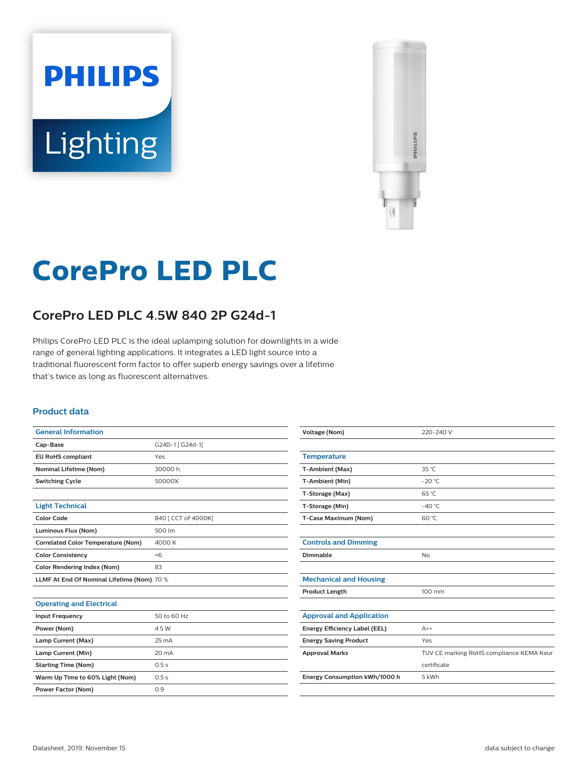# **PHILIPS** Lighting



# **CorePro LED PLC**

# **CorePro LED PLC 4.5W 840 2P G24d-1**

Philips CorePro LED PLC is the ideal uplamping solution for downlights in a wide range of general lighting applications. It integrates a LED light source into a traditional fluorescent form factor to offer superb energy savings over a lifetime that's twice as long as fluorescent alternatives.

#### **Product data**

| <b>General Information</b>                 |                     |
|--------------------------------------------|---------------------|
| Cap-Base                                   | G24D-1 [ G24d-1]    |
| <b>EU RoHS compliant</b>                   | Yes                 |
| <b>Nominal Lifetime (Nom)</b>              | 30000h              |
| <b>Switching Cycle</b>                     | 50000X              |
|                                            |                     |
| <b>Light Technical</b>                     |                     |
| <b>Color Code</b>                          | 840 [ CCT of 4000K] |
| Luminous Flux (Nom)                        | 500 lm              |
| <b>Correlated Color Temperature (Nom)</b>  | 4000 K              |
| <b>Color Consistency</b>                   | < 6                 |
| <b>Color Rendering Index (Nom)</b>         | 83                  |
| LLMF At End Of Nominal Lifetime (Nom) 70 % |                     |
|                                            |                     |
| <b>Operating and Electrical</b>            |                     |
| <b>Input Frequency</b>                     | 50 to 60 Hz         |
| Power (Nom)                                | 4.5 W               |
| Lamp Current (Max)                         | $25 \text{ mA}$     |
| Lamp Current (Min)                         | 20 mA               |
| <b>Starting Time (Nom)</b>                 | 0.5s                |
| Warm Up Time to 60% Light (Nom)            | 0.5s                |
| <b>Power Factor (Nom)</b>                  | 0.9                 |

| <b>Voltage (Nom)</b>            | 220-240 V                                |
|---------------------------------|------------------------------------------|
|                                 |                                          |
| <b>Temperature</b>              |                                          |
| T-Ambient (Max)                 | 35 °C                                    |
| T-Ambient (Min)                 | $-20 °C$                                 |
| T-Storage (Max)                 | 65 °C                                    |
| T-Storage (Min)                 | $-40^{\circ}$ C                          |
| T-Case Maximum (Nom)            | 60 °C                                    |
|                                 |                                          |
| <b>Controls and Dimming</b>     |                                          |
| Dimmable                        | No                                       |
|                                 |                                          |
| <b>Mechanical and Housing</b>   |                                          |
| <b>Product Length</b>           | 100 mm                                   |
|                                 |                                          |
| <b>Approval and Application</b> |                                          |
| Energy Efficiency Label (EEL)   | $A++$                                    |
| <b>Energy Saving Product</b>    | Yes                                      |
| <b>Approval Marks</b>           | TUV CE marking RoHS compliance KEMA Keur |
|                                 | certificate                              |
| Energy Consumption kWh/1000 h   | 5 kWh                                    |
|                                 |                                          |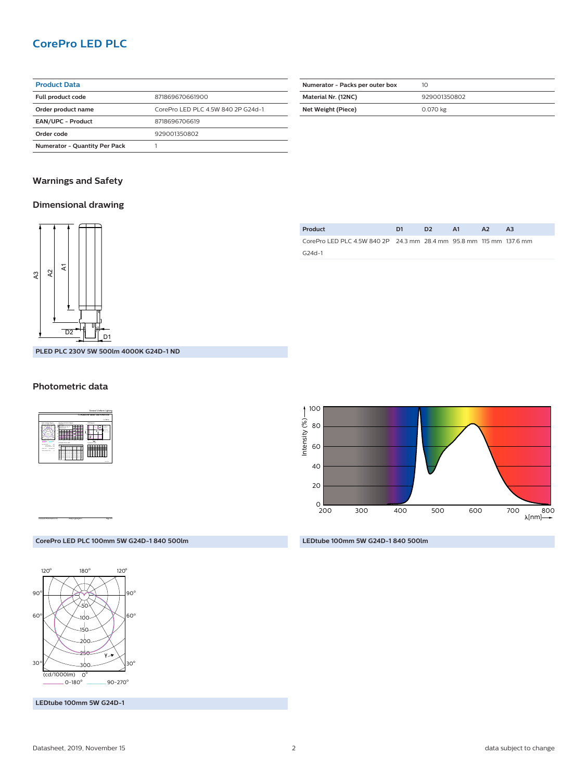### **CorePro LED PLC**

| <b>Product Data</b>                  |                                    |
|--------------------------------------|------------------------------------|
| <b>Full product code</b>             | 871869670661900                    |
| Order product name                   | CorePro LED PLC 4.5W 840 2P G24d-1 |
| <b>EAN/UPC - Product</b>             | 8718696706619                      |
| Order code                           | 929001350802                       |
| <b>Numerator - Quantity Per Pack</b> |                                    |

| Numerator - Packs per outer box | 10           |
|---------------------------------|--------------|
| Material Nr. (12NC)             | 929001350802 |
| Net Weight (Piece)              | 0.070 kg     |

#### **Warnings and Safety**

#### **Dimensional drawing**



| Product                                                             | D <sub>2</sub> | A1 |  |  |
|---------------------------------------------------------------------|----------------|----|--|--|
| CorePro LED PLC 4.5W 840 2P 24.3 mm 28.4 mm 95.8 mm 115 mm 137.6 mm |                |    |  |  |
| G24d-1                                                              |                |    |  |  |
|                                                                     |                |    |  |  |

**500lm 4000K G24D-1 ND** 

#### **Photometric data**



CalcuLuX Photometrics 4.5 Philips Lighting B.V. Page: 1/1



**LEDtube 100mm 5W G24D-1 840 500lm**

#### **CorePro LED PLC 100mm 5W G24D-1 840 500lm**



**LEDtube 100mm 5W G24D-1**

| D <sub>2</sub><br>PLED PLC 230V 5W |  |  |
|------------------------------------|--|--|
|                                    |  |  |